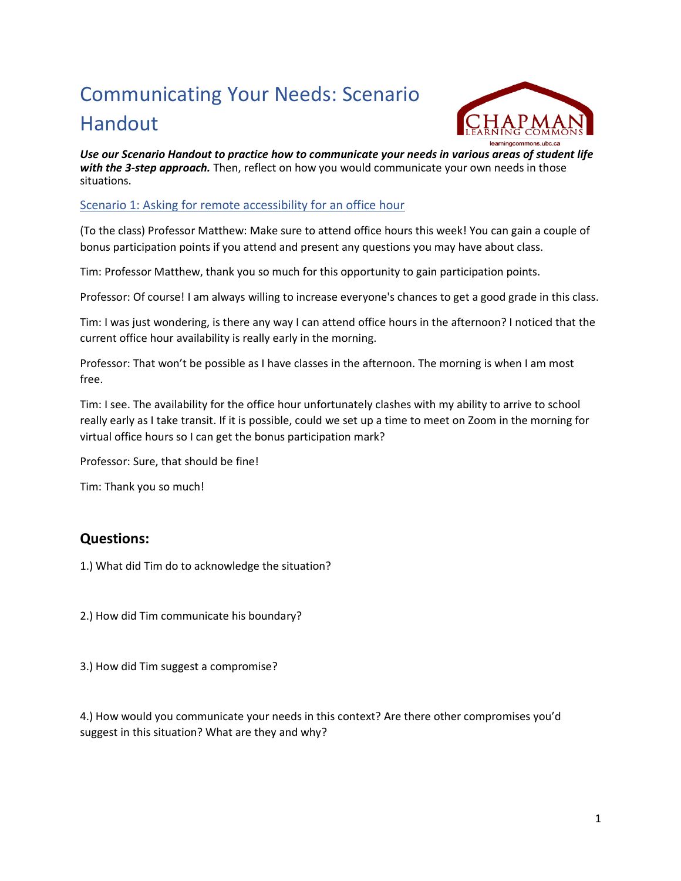# Communicating Your Needs: Scenario Handout



*Use our Scenario Handout to practice how to communicate your needs in various areas of student life with the 3-step approach.* Then, reflect on how you would communicate your own needs in those situations.

#### Scenario 1: Asking for remote accessibility for an office hour

(To the class) Professor Matthew: Make sure to attend office hours this week! You can gain a couple of bonus participation points if you attend and present any questions you may have about class.

Tim: Professor Matthew, thank you so much for this opportunity to gain participation points.

Professor: Of course! I am always willing to increase everyone's chances to get a good grade in this class.

Tim: I was just wondering, is there any way I can attend office hours in the afternoon? I noticed that the current office hour availability is really early in the morning.

Professor: That won't be possible as I have classes in the afternoon. The morning is when I am most free.

Tim: I see. The availability for the office hour unfortunately clashes with my ability to arrive to school really early as I take transit. If it is possible, could we set up a time to meet on Zoom in the morning for virtual office hours so I can get the bonus participation mark?

Professor: Sure, that should be fine!

Tim: Thank you so much!

## **Questions:**

1.) What did Tim do to acknowledge the situation?

2.) How did Tim communicate his boundary?

3.) How did Tim suggest a compromise?

4.) How would you communicate your needs in this context? Are there other compromises you'd suggest in this situation? What are they and why?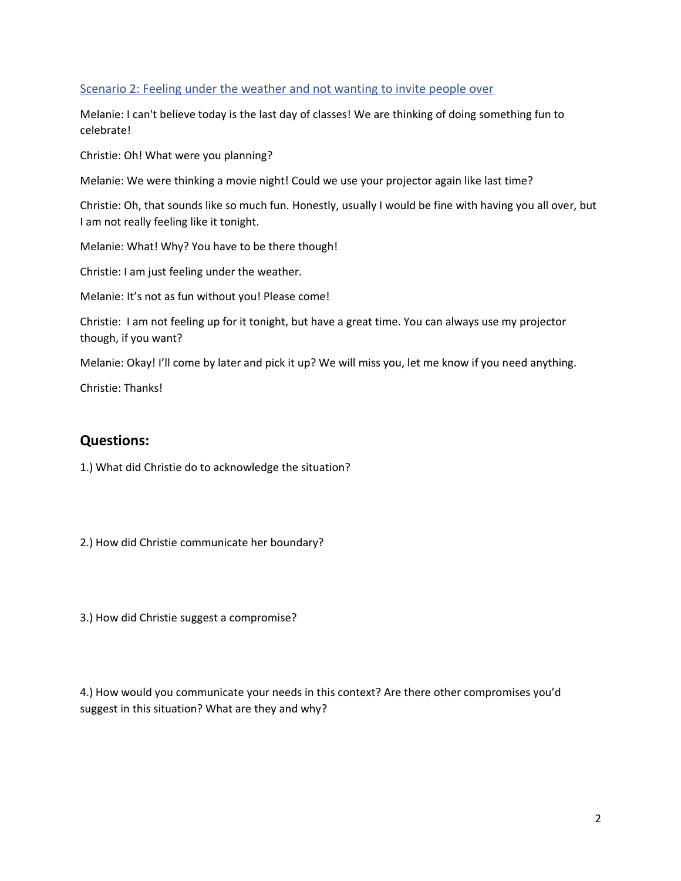#### Scenario 2: Feeling under the weather and not wanting to invite people over

Melanie: I can't believe today is the last day of classes! We are thinking of doing something fun to celebrate!

Christie: Oh! What were you planning?

Melanie: We were thinking a movie night! Could we use your projector again like last time?

Christie: Oh, that sounds like so much fun. Honestly, usually I would be fine with having you all over, but I am not really feeling like it tonight.

Melanie: What! Why? You have to be there though!

Christie: I am just feeling under the weather.

Melanie: It's not as fun without you! Please come!

Christie: I am not feeling up for it tonight, but have a great time. You can always use my projector though, if you want?

Melanie: Okay! I'll come by later and pick it up? We will miss you, let me know if you need anything.

Christie: Thanks!

### **Questions:**

1.) What did Christie do to acknowledge the situation?

2.) How did Christie communicate her boundary?

3.) How did Christie suggest a compromise?

4.) How would you communicate your needs in this context? Are there other compromises you'd suggest in this situation? What are they and why?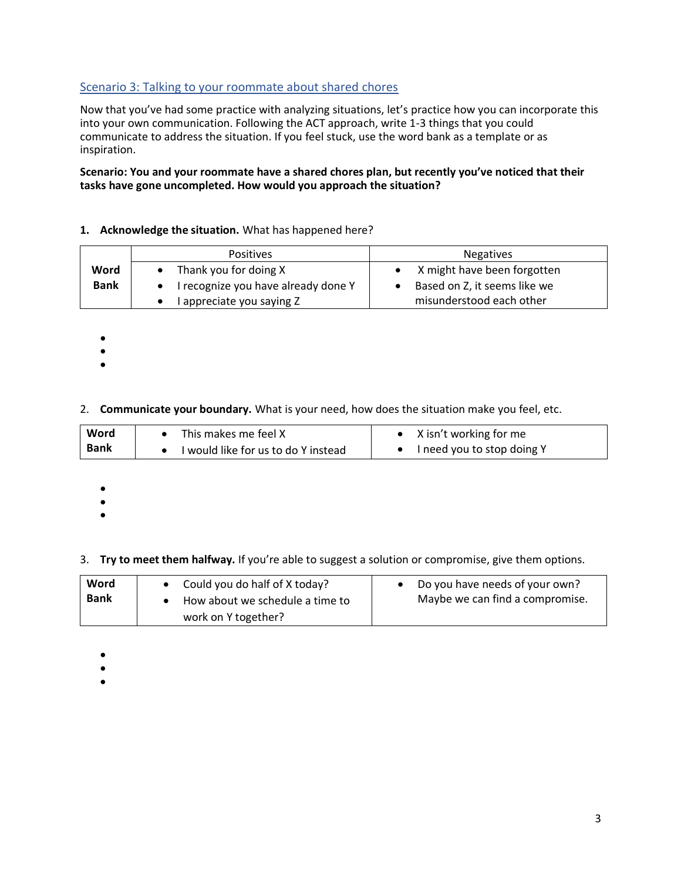#### Scenario 3: Talking to your roommate about shared chores

Now that you've had some practice with analyzing situations, let's practice how you can incorporate this into your own communication. Following the ACT approach, write 1-3 things that you could communicate to address the situation. If you feel stuck, use the word bank as a template or as inspiration.

#### **Scenario: You and your roommate have a shared chores plan, but recently you've noticed that their tasks have gone uncompleted. How would you approach the situation?**

#### **1. Acknowledge the situation.** What has happened here?

|             | <b>Positives</b>                    | <b>Negatives</b>             |
|-------------|-------------------------------------|------------------------------|
| Word        | Thank you for doing X               | X might have been forgotten  |
| <b>Bank</b> | I recognize you have already done Y | Based on Z, it seems like we |
|             | I appreciate you saying Z           | misunderstood each other     |

- •
- •
- •

#### 2. **Communicate your boundary.** What is your need, how does the situation make you feel, etc.

| Word        | This makes me feel X                | X isn't working for me     |
|-------------|-------------------------------------|----------------------------|
| <b>Bank</b> | I would like for us to do Y instead | I need you to stop doing Y |

- •
- •
- •

3. **Try to meet them halfway.** If you're able to suggest a solution or compromise, give them options.

| Word<br><b>Bank</b> | Could you do half of X today?<br>How about we schedule a time to<br>work on Y together? | Do you have needs of your own?<br>Maybe we can find a compromise. |
|---------------------|-----------------------------------------------------------------------------------------|-------------------------------------------------------------------|
|---------------------|-----------------------------------------------------------------------------------------|-------------------------------------------------------------------|

- •
- •
- •